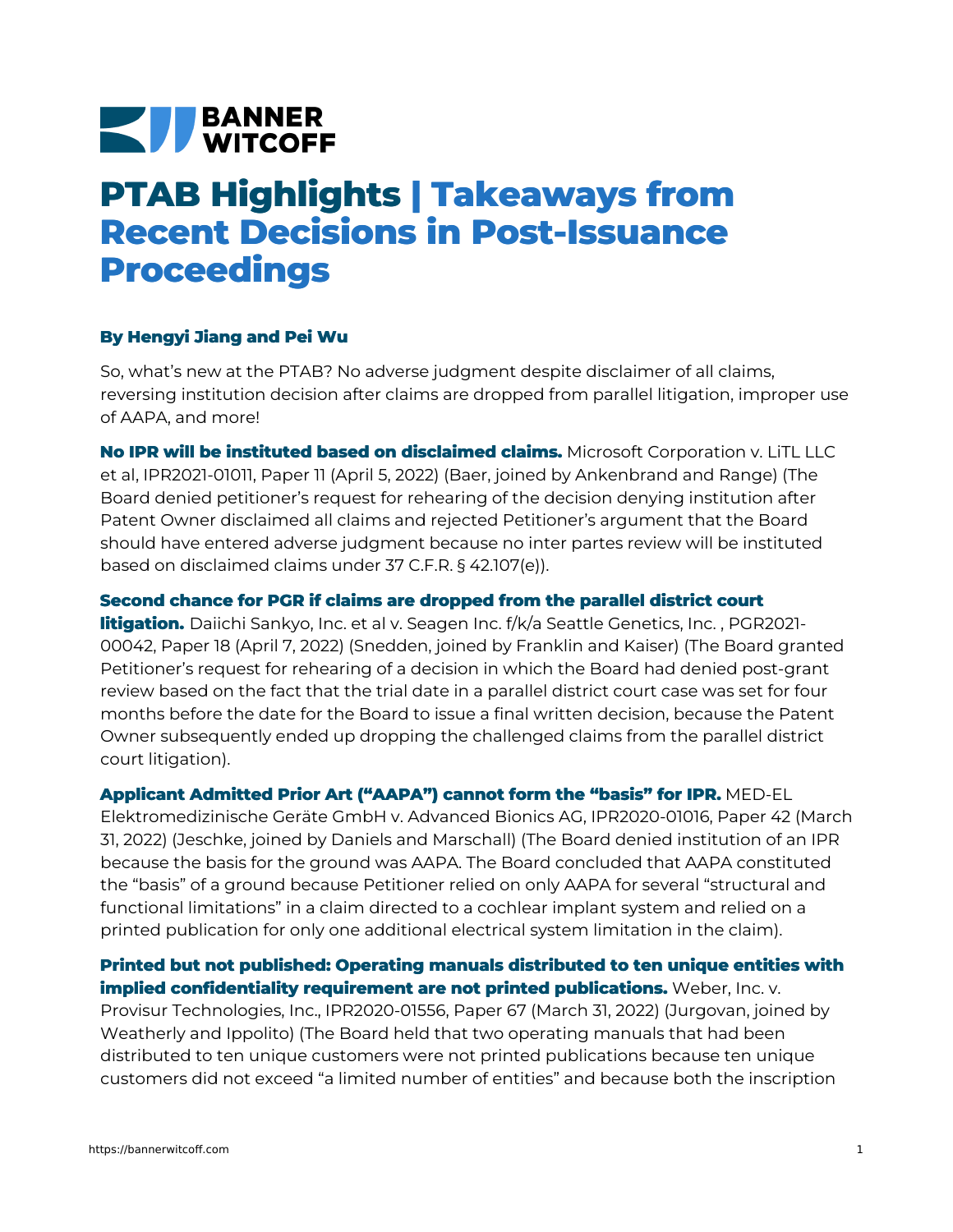# **NEW BANNER**

# **PTAB Highlights | Takeaways from Recent Decisions in Post-Issuance Proceedings**

### **By Hengyi Jiang and Pei Wu**

So, what's new at the PTAB? No adverse judgment despite disclaimer of all claims, reversing institution decision after claims are dropped from parallel litigation, improper use of AAPA, and more!

**No IPR will be instituted based on disclaimed claims.** Microsoft Corporation v. LiTL LLC et al, [IPR2021-01011,](https://bannerwitcoff.com/wp-content/uploads/2022/04/IPR2021-01011.pdf) Paper 11 (April 5, 2022) (Baer, joined by Ankenbrand and Range) (The Board denied petitioner's request for rehearing of the decision denying institution after Patent Owner disclaimed all claims and rejected Petitioner's argument that the Board should have entered adverse judgment because no inter partes review will be instituted based on disclaimed claims under 37 C.F.R. § 42.107(e)).

### **Second chance for PGR if claims are dropped from the parallel district court**

**litigation.** Daiichi Sankyo, Inc. et al v. Seagen Inc. f/k/a Seattle [Genetics,](https://bannerwitcoff.com/wp-content/uploads/2022/04/PGR2021-00042.pdf) Inc., PGR2021-00042, Paper 18 (April 7, 2022) (Snedden, joined by Franklin and Kaiser) (The Board granted Petitioner's request for rehearing of a decision in which the Board had denied post-grant review based on the fact that the trial date in a parallel district court case was set for four months before the date for the Board to issue a final written decision, because the Patent Owner subsequently ended up dropping the challenged claims from the parallel district court litigation).

**Applicant Admitted Prior Art ("AAPA") cannot form the "basis" for IPR.** MED-EL [Elektromedizinische](https://bannerwitcoff.com/wp-content/uploads/2022/04/IPR2020-01016.pdf) Geräte GmbH v. Advanced Bionics AG, IPR2020-01016, Paper 42 (March 31, 2022) (Jeschke, joined by Daniels and Marschall) (The Board denied institution of an IPR because the basis for the ground was AAPA. The Board concluded that AAPA constituted the "basis" of a ground because Petitioner relied on only AAPA for several "structural and functional limitations" in a claim directed to a cochlear implant system and relied on a printed publication for only one additional electrical system limitation in the claim).

## **Printed but not published: Operating manuals distributed to ten unique entities with implied [confidentiality](https://bannerwitcoff.com/wp-content/uploads/2022/04/IPR2020-01556.pdf) requirement are not printed publications.** Weber, Inc. v.

Provisur Technologies, Inc., IPR2020-01556, Paper 67 (March 31, 2022) (Jurgovan, joined by Weatherly and Ippolito) (The Board held that two operating manuals that had been distributed to ten unique customers were not printed publications because ten unique customers did not exceed "a limited number of entities" and because both the inscription